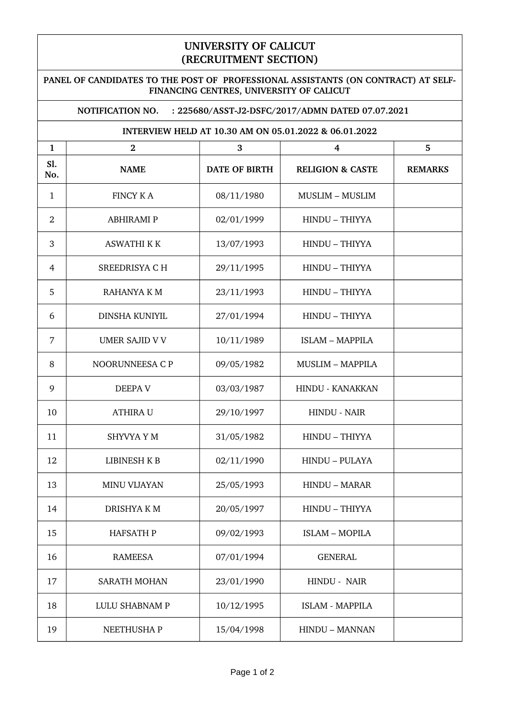## **UNIVERSITY OF CALICUT (RECRUITMENT SECTION)**

## **PANEL OF CANDIDATES TO THE POST OF PROFESSIONAL ASSISTANTS (ON CONTRACT) AT SELF-FINANCING CENTRES, UNIVERSITY OF CALICUT**

## **NOTIFICATION NO. : 225680/ASST-J2-DSFC/2017/ADMN DATED 07.07.2021**

## **INTERVIEW HELD AT 10.30 AM ON 05.01.2022 & 06.01.2022**

| $\mathbf{1}$   | $\overline{2}$      | 3                    | 4                           | 5              |
|----------------|---------------------|----------------------|-----------------------------|----------------|
| Sl.<br>No.     | <b>NAME</b>         | <b>DATE OF BIRTH</b> | <b>RELIGION &amp; CASTE</b> | <b>REMARKS</b> |
| 1              | <b>FINCY KA</b>     | 08/11/1980           | <b>MUSLIM - MUSLIM</b>      |                |
| $\overline{2}$ | <b>ABHIRAMI P</b>   | 02/01/1999           | HINDU - THIYYA              |                |
| 3              | <b>ASWATHI K K</b>  | 13/07/1993           | HINDU - THIYYA              |                |
| 4              | SREEDRISYA C H      | 29/11/1995           | HINDU - THIYYA              |                |
| 5              | RAHANYA K M         | 23/11/1993           | HINDU - THIYYA              |                |
| 6              | DINSHA KUNIYIL      | 27/01/1994           | HINDU - THIYYA              |                |
| 7              | UMER SAJID V V      | 10/11/1989           | <b>ISLAM - MAPPILA</b>      |                |
| 8              | NOORUNNEESA C P     | 09/05/1982           | <b>MUSLIM - MAPPILA</b>     |                |
| 9              | <b>DEEPA V</b>      | 03/03/1987           | <b>HINDU - KANAKKAN</b>     |                |
| 10             | <b>ATHIRA U</b>     | 29/10/1997           | <b>HINDU - NAIR</b>         |                |
| 11             | SHYVYA Y M          | 31/05/1982           | HINDU - THIYYA              |                |
| 12             | LIBINESH K B        | 02/11/1990           | <b>HINDU - PULAYA</b>       |                |
| 13             | <b>MINU VIJAYAN</b> | 25/05/1993           | <b>HINDU - MARAR</b>        |                |
| 14             | <b>DRISHYAKM</b>    | 20/05/1997           | HINDU - THIYYA              |                |
| 15             | <b>HAFSATH P</b>    | 09/02/1993           | <b>ISLAM - MOPILA</b>       |                |
| 16             | <b>RAMEESA</b>      | 07/01/1994           | <b>GENERAL</b>              |                |
| 17             | <b>SARATH MOHAN</b> | 23/01/1990           | HINDU - NAIR                |                |
| 18             | LULU SHABNAM P      | 10/12/1995           | <b>ISLAM - MAPPILA</b>      |                |
| 19             | NEETHUSHA P         | 15/04/1998           | HINDU - MANNAN              |                |